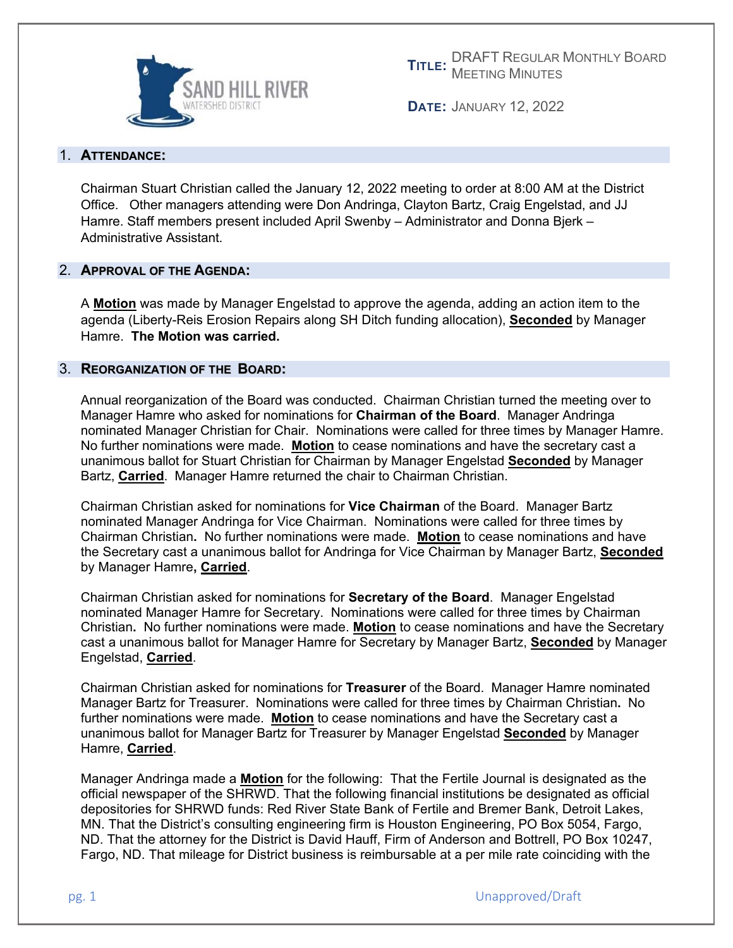

**TITLE:** MEETING MINUTES DRAFT REGULAR MONTHLY BOARD

**DATE:** JANUARY 12, 2022

# 1. **ATTENDANCE:**

Chairman Stuart Christian called the January 12, 2022 meeting to order at 8:00 AM at the District Office. Other managers attending were Don Andringa, Clayton Bartz, Craig Engelstad, and JJ Hamre. Staff members present included April Swenby – Administrator and Donna Bjerk – Administrative Assistant.

## 2. **APPROVAL OF THE AGENDA:**

A **Motion** was made by Manager Engelstad to approve the agenda, adding an action item to the agenda (Liberty-Reis Erosion Repairs along SH Ditch funding allocation), **Seconded** by Manager Hamre. **The Motion was carried.** 

## 3. **REORGANIZATION OF THE BOARD:**

Annual reorganization of the Board was conducted. Chairman Christian turned the meeting over to Manager Hamre who asked for nominations for **Chairman of the Board**. Manager Andringa nominated Manager Christian for Chair. Nominations were called for three times by Manager Hamre. No further nominations were made. **Motion** to cease nominations and have the secretary cast a unanimous ballot for Stuart Christian for Chairman by Manager Engelstad **Seconded** by Manager Bartz, **Carried**. Manager Hamre returned the chair to Chairman Christian.

Chairman Christian asked for nominations for **Vice Chairman** of the Board. Manager Bartz nominated Manager Andringa for Vice Chairman. Nominations were called for three times by Chairman Christian**.** No further nominations were made. **Motion** to cease nominations and have the Secretary cast a unanimous ballot for Andringa for Vice Chairman by Manager Bartz, **Seconded** by Manager Hamre**, Carried**.

Chairman Christian asked for nominations for **Secretary of the Board**. Manager Engelstad nominated Manager Hamre for Secretary. Nominations were called for three times by Chairman Christian**.** No further nominations were made. **Motion** to cease nominations and have the Secretary cast a unanimous ballot for Manager Hamre for Secretary by Manager Bartz, **Seconded** by Manager Engelstad, **Carried**.

Chairman Christian asked for nominations for **Treasurer** of the Board. Manager Hamre nominated Manager Bartz for Treasurer. Nominations were called for three times by Chairman Christian**.** No further nominations were made. **Motion** to cease nominations and have the Secretary cast a unanimous ballot for Manager Bartz for Treasurer by Manager Engelstad **Seconded** by Manager Hamre, **Carried**.

Manager Andringa made a **Motion** for the following: That the Fertile Journal is designated as the official newspaper of the SHRWD. That the following financial institutions be designated as official depositories for SHRWD funds: Red River State Bank of Fertile and Bremer Bank, Detroit Lakes, MN. That the District's consulting engineering firm is Houston Engineering, PO Box 5054, Fargo, ND. That the attorney for the District is David Hauff, Firm of Anderson and Bottrell, PO Box 10247, Fargo, ND. That mileage for District business is reimbursable at a per mile rate coinciding with the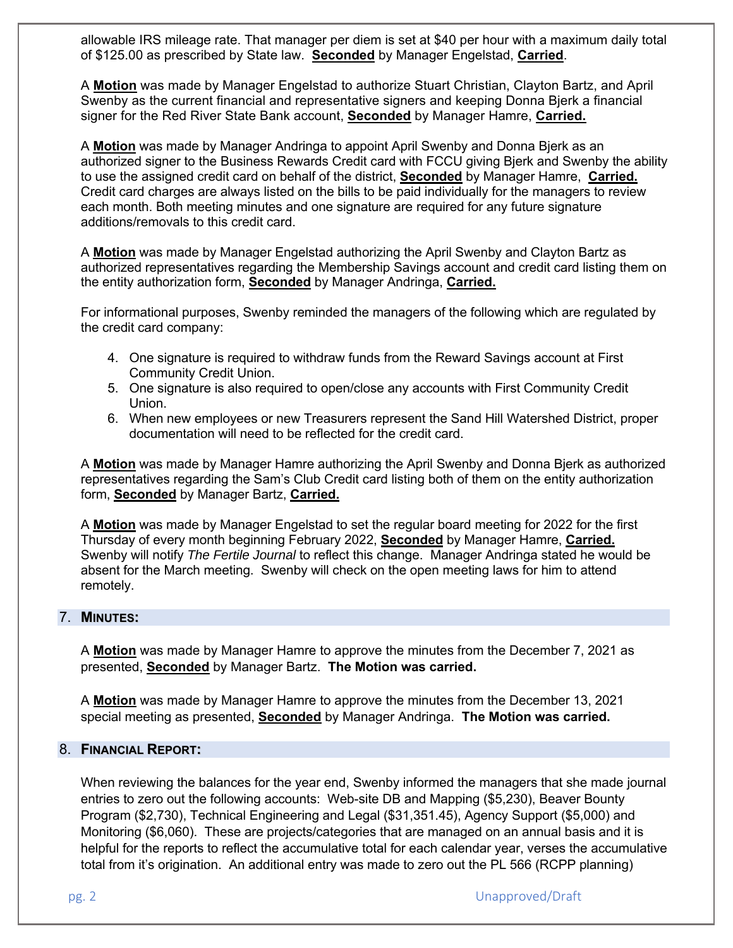allowable IRS mileage rate. That manager per diem is set at \$40 per hour with a maximum daily total of \$125.00 as prescribed by State law. **Seconded** by Manager Engelstad, **Carried**.

A **Motion** was made by Manager Engelstad to authorize Stuart Christian, Clayton Bartz, and April Swenby as the current financial and representative signers and keeping Donna Bjerk a financial signer for the Red River State Bank account, **Seconded** by Manager Hamre, **Carried.**

A **Motion** was made by Manager Andringa to appoint April Swenby and Donna Bjerk as an authorized signer to the Business Rewards Credit card with FCCU giving Bjerk and Swenby the ability to use the assigned credit card on behalf of the district, **Seconded** by Manager Hamre, **Carried.** Credit card charges are always listed on the bills to be paid individually for the managers to review each month. Both meeting minutes and one signature are required for any future signature additions/removals to this credit card.

A **Motion** was made by Manager Engelstad authorizing the April Swenby and Clayton Bartz as authorized representatives regarding the Membership Savings account and credit card listing them on the entity authorization form, **Seconded** by Manager Andringa, **Carried.** 

For informational purposes, Swenby reminded the managers of the following which are regulated by the credit card company:

- 4. One signature is required to withdraw funds from the Reward Savings account at First Community Credit Union.
- 5. One signature is also required to open/close any accounts with First Community Credit Union.
- 6. When new employees or new Treasurers represent the Sand Hill Watershed District, proper documentation will need to be reflected for the credit card.

A **Motion** was made by Manager Hamre authorizing the April Swenby and Donna Bjerk as authorized representatives regarding the Sam's Club Credit card listing both of them on the entity authorization form, **Seconded** by Manager Bartz, **Carried.** 

A **Motion** was made by Manager Engelstad to set the regular board meeting for 2022 for the first Thursday of every month beginning February 2022, **Seconded** by Manager Hamre, **Carried.** Swenby will notify *The Fertile Journal* to reflect this change. Manager Andringa stated he would be absent for the March meeting. Swenby will check on the open meeting laws for him to attend remotely.

## 7. **MINUTES:**

A **Motion** was made by Manager Hamre to approve the minutes from the December 7, 2021 as presented, **Seconded** by Manager Bartz. **The Motion was carried.** 

A **Motion** was made by Manager Hamre to approve the minutes from the December 13, 2021 special meeting as presented, **Seconded** by Manager Andringa. **The Motion was carried.** 

#### 8. **FINANCIAL REPORT:**

When reviewing the balances for the year end, Swenby informed the managers that she made journal entries to zero out the following accounts: Web-site DB and Mapping (\$5,230), Beaver Bounty Program (\$2,730), Technical Engineering and Legal (\$31,351.45), Agency Support (\$5,000) and Monitoring (\$6,060). These are projects/categories that are managed on an annual basis and it is helpful for the reports to reflect the accumulative total for each calendar year, verses the accumulative total from it's origination. An additional entry was made to zero out the PL 566 (RCPP planning)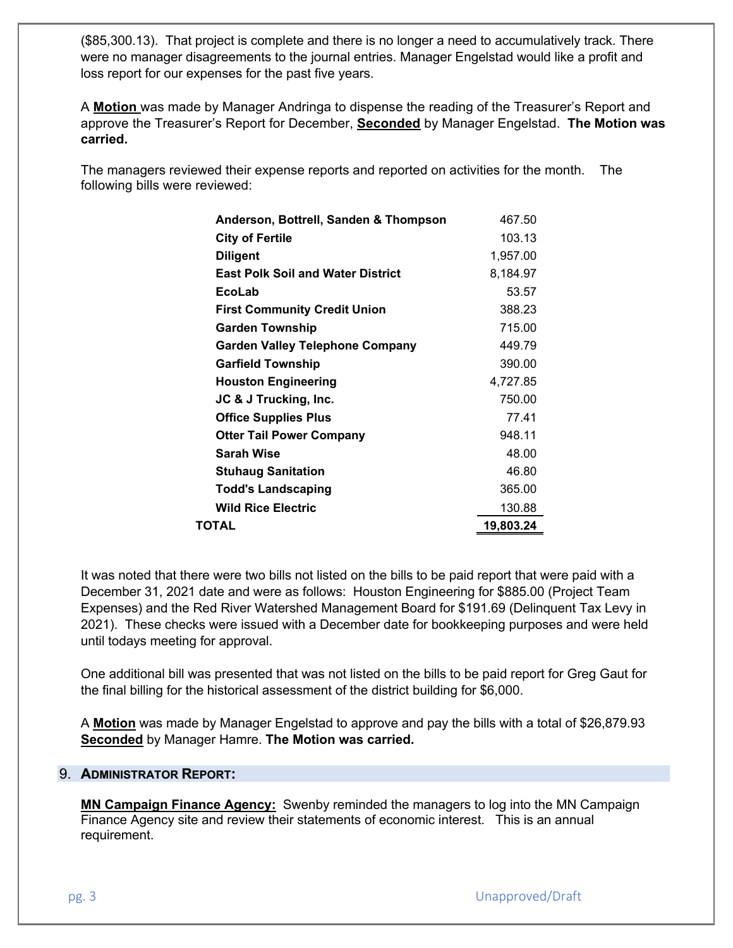(\$85,300.13). That project is complete and there is no longer a need to accumulatively track. There were no manager disagreements to the journal entries. Manager Engelstad would like a profit and loss report for our expenses for the past five years.

A **Motion** was made by Manager Andringa to dispense the reading of the Treasurer's Report and approve the Treasurer's Report for December, **Seconded** by Manager Engelstad. **The Motion was carried.**

The managers reviewed their expense reports and reported on activities for the month. The following bills were reviewed:

| Anderson, Bottrell, Sanden & Thompson    | 467.50    |
|------------------------------------------|-----------|
| <b>City of Fertile</b>                   | 103.13    |
| <b>Diligent</b>                          | 1,957.00  |
| <b>East Polk Soil and Water District</b> | 8,184.97  |
| EcoLab                                   | 53.57     |
| <b>First Community Credit Union</b>      | 388.23    |
| <b>Garden Township</b>                   | 715.00    |
| Garden Valley Telephone Company          | 449.79    |
| <b>Garfield Township</b>                 | 390.00    |
| <b>Houston Engineering</b>               | 4,727.85  |
| JC & J Trucking, Inc.                    | 750.00    |
| <b>Office Supplies Plus</b>              | 77.41     |
| <b>Otter Tail Power Company</b>          | 948.11    |
| Sarah Wise                               | 48.00     |
| <b>Stuhaug Sanitation</b>                | 46.80     |
| <b>Todd's Landscaping</b>                | 365.00    |
| <b>Wild Rice Electric</b>                | 130.88    |
| TOTAL                                    | 19,803.24 |

It was noted that there were two bills not listed on the bills to be paid report that were paid with a December 31, 2021 date and were as follows: Houston Engineering for \$885.00 (Project Team Expenses) and the Red River Watershed Management Board for \$191.69 (Delinquent Tax Levy in 2021). These checks were issued with a December date for bookkeeping purposes and were held until todays meeting for approval.

One additional bill was presented that was not listed on the bills to be paid report for Greg Gaut for the final billing for the historical assessment of the district building for \$6,000.

A **Motion** was made by Manager Engelstad to approve and pay the bills with a total of \$26,879.93 **Seconded** by Manager Hamre. **The Motion was carried.** 

## 9. **ADMINISTRATOR REPORT:**

**MN Campaign Finance Agency:** Swenby reminded the managers to log into the MN Campaign Finance Agency site and review their statements of economic interest. This is an annual requirement.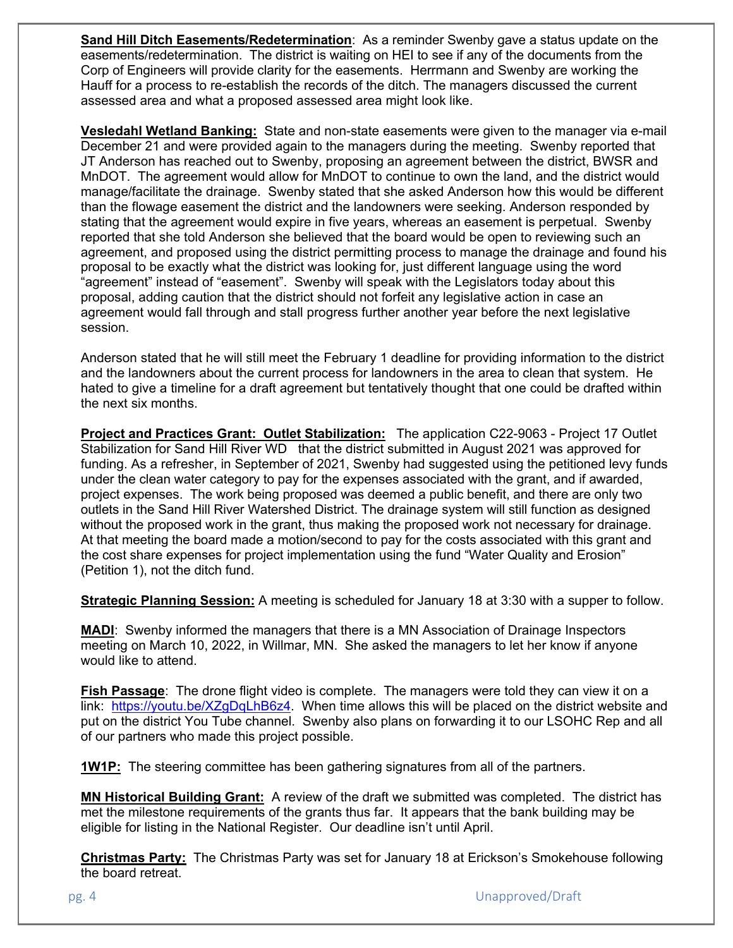**Sand Hill Ditch Easements/Redetermination**: As a reminder Swenby gave a status update on the easements/redetermination. The district is waiting on HEI to see if any of the documents from the Corp of Engineers will provide clarity for the easements. Herrmann and Swenby are working the Hauff for a process to re-establish the records of the ditch. The managers discussed the current assessed area and what a proposed assessed area might look like.

**Vesledahl Wetland Banking:** State and non-state easements were given to the manager via e-mail December 21 and were provided again to the managers during the meeting. Swenby reported that JT Anderson has reached out to Swenby, proposing an agreement between the district, BWSR and MnDOT. The agreement would allow for MnDOT to continue to own the land, and the district would manage/facilitate the drainage. Swenby stated that she asked Anderson how this would be different than the flowage easement the district and the landowners were seeking. Anderson responded by stating that the agreement would expire in five years, whereas an easement is perpetual. Swenby reported that she told Anderson she believed that the board would be open to reviewing such an agreement, and proposed using the district permitting process to manage the drainage and found his proposal to be exactly what the district was looking for, just different language using the word "agreement" instead of "easement". Swenby will speak with the Legislators today about this proposal, adding caution that the district should not forfeit any legislative action in case an agreement would fall through and stall progress further another year before the next legislative session.

Anderson stated that he will still meet the February 1 deadline for providing information to the district and the landowners about the current process for landowners in the area to clean that system. He hated to give a timeline for a draft agreement but tentatively thought that one could be drafted within the next six months.

**Project and Practices Grant: Outlet Stabilization:** The application C22-9063 - Project 17 Outlet Stabilization for Sand Hill River WD that the district submitted in August 2021 was approved for funding. As a refresher, in September of 2021, Swenby had suggested using the petitioned levy funds under the clean water category to pay for the expenses associated with the grant, and if awarded, project expenses. The work being proposed was deemed a public benefit, and there are only two outlets in the Sand Hill River Watershed District. The drainage system will still function as designed without the proposed work in the grant, thus making the proposed work not necessary for drainage. At that meeting the board made a motion/second to pay for the costs associated with this grant and the cost share expenses for project implementation using the fund "Water Quality and Erosion" (Petition 1), not the ditch fund.

**Strategic Planning Session:** A meeting is scheduled for January 18 at 3:30 with a supper to follow.

**MADI**: Swenby informed the managers that there is a MN Association of Drainage Inspectors meeting on March 10, 2022, in Willmar, MN. She asked the managers to let her know if anyone would like to attend.

**Fish Passage**: The drone flight video is complete. The managers were told they can view it on a link: https://youtu.be/XZgDqLhB6z4. When time allows this will be placed on the district website and put on the district You Tube channel. Swenby also plans on forwarding it to our LSOHC Rep and all of our partners who made this project possible.

**1W1P:** The steering committee has been gathering signatures from all of the partners.

**MN Historical Building Grant:** A review of the draft we submitted was completed. The district has met the milestone requirements of the grants thus far. It appears that the bank building may be eligible for listing in the National Register. Our deadline isn't until April.

**Christmas Party:** The Christmas Party was set for January 18 at Erickson's Smokehouse following the board retreat.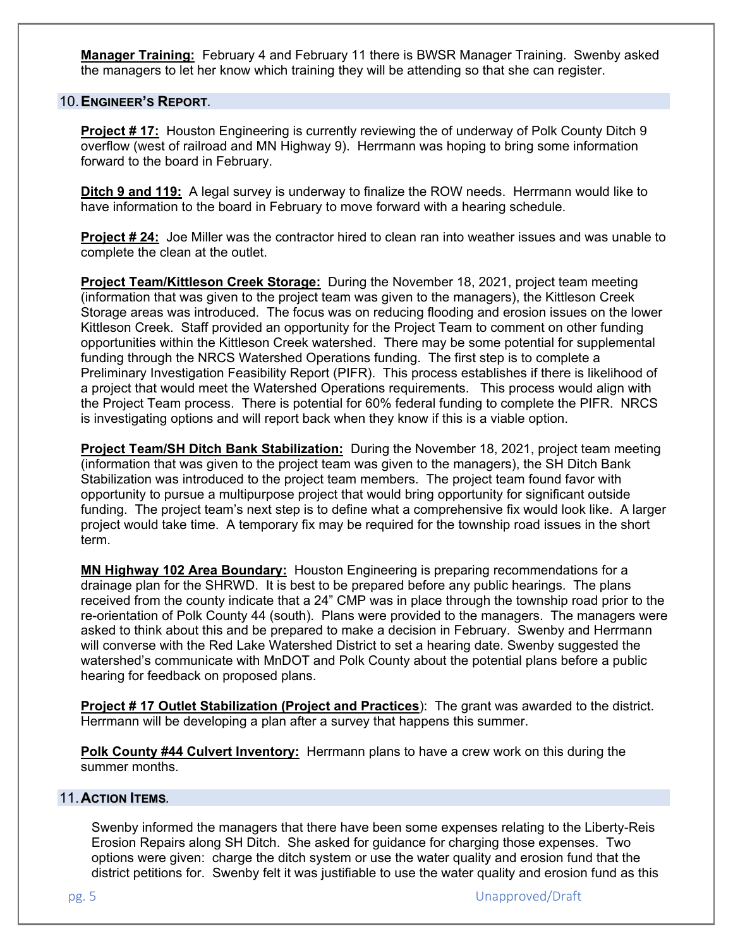**Manager Training:** February 4 and February 11 there is BWSR Manager Training. Swenby asked the managers to let her know which training they will be attending so that she can register.

#### 10. **ENGINEER'S REPORT***.*

**Project # 17:** Houston Engineering is currently reviewing the of underway of Polk County Ditch 9 overflow (west of railroad and MN Highway 9). Herrmann was hoping to bring some information forward to the board in February.

**Ditch 9 and 119:** A legal survey is underway to finalize the ROW needs. Herrmann would like to have information to the board in February to move forward with a hearing schedule.

**Project # 24:** Joe Miller was the contractor hired to clean ran into weather issues and was unable to complete the clean at the outlet.

**Project Team/Kittleson Creek Storage:** During the November 18, 2021, project team meeting (information that was given to the project team was given to the managers), the Kittleson Creek Storage areas was introduced. The focus was on reducing flooding and erosion issues on the lower Kittleson Creek. Staff provided an opportunity for the Project Team to comment on other funding opportunities within the Kittleson Creek watershed. There may be some potential for supplemental funding through the NRCS Watershed Operations funding. The first step is to complete a Preliminary Investigation Feasibility Report (PIFR). This process establishes if there is likelihood of a project that would meet the Watershed Operations requirements. This process would align with the Project Team process. There is potential for 60% federal funding to complete the PIFR. NRCS is investigating options and will report back when they know if this is a viable option.

**Project Team/SH Ditch Bank Stabilization:** During the November 18, 2021, project team meeting (information that was given to the project team was given to the managers), the SH Ditch Bank Stabilization was introduced to the project team members. The project team found favor with opportunity to pursue a multipurpose project that would bring opportunity for significant outside funding. The project team's next step is to define what a comprehensive fix would look like. A larger project would take time. A temporary fix may be required for the township road issues in the short term.

**MN Highway 102 Area Boundary:** Houston Engineering is preparing recommendations for a drainage plan for the SHRWD. It is best to be prepared before any public hearings. The plans received from the county indicate that a 24" CMP was in place through the township road prior to the re-orientation of Polk County 44 (south). Plans were provided to the managers. The managers were asked to think about this and be prepared to make a decision in February. Swenby and Herrmann will converse with the Red Lake Watershed District to set a hearing date. Swenby suggested the watershed's communicate with MnDOT and Polk County about the potential plans before a public hearing for feedback on proposed plans.

**Project # 17 Outlet Stabilization (Project and Practices**): The grant was awarded to the district. Herrmann will be developing a plan after a survey that happens this summer.

**Polk County #44 Culvert Inventory:** Herrmann plans to have a crew work on this during the summer months.

#### 11. **ACTION ITEMS***.*

Swenby informed the managers that there have been some expenses relating to the Liberty-Reis Erosion Repairs along SH Ditch. She asked for guidance for charging those expenses. Two options were given: charge the ditch system or use the water quality and erosion fund that the district petitions for. Swenby felt it was justifiable to use the water quality and erosion fund as this